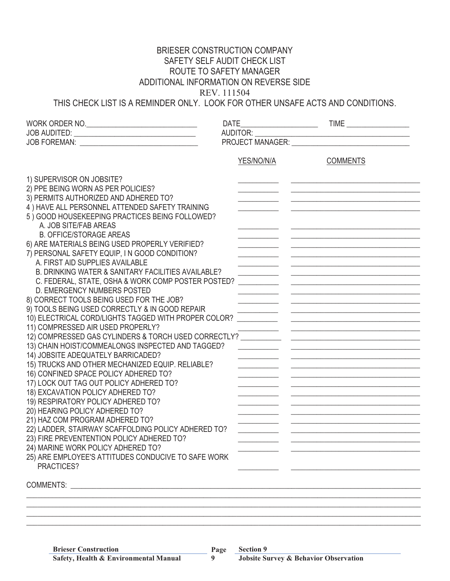## BRIESER CONSTRUCTION COMPANY SAFETY SELF AUDIT CHECK LIST ROUTE TO SAFETY MANAGER ADDITIONAL INFORMATION ON REVERSE SIDE REV. 111504

THIS CHECK LIST IS A REMINDER ONLY. LOOK FOR OTHER UNSAFE ACTS AND CONDITIONS.

|                                                                                        | <b>DATE</b>          |                                                                                                                        |  |  |
|----------------------------------------------------------------------------------------|----------------------|------------------------------------------------------------------------------------------------------------------------|--|--|
|                                                                                        | AUDITOR: ___________ |                                                                                                                        |  |  |
|                                                                                        |                      |                                                                                                                        |  |  |
|                                                                                        |                      |                                                                                                                        |  |  |
|                                                                                        | YES/NO/N/A           | <b>COMMENTS</b>                                                                                                        |  |  |
| 1) SUPERVISOR ON JOBSITE?                                                              |                      |                                                                                                                        |  |  |
| 2) PPE BEING WORN AS PER POLICIES?                                                     |                      |                                                                                                                        |  |  |
| 3) PERMITS AUTHORIZED AND ADHERED TO?                                                  |                      |                                                                                                                        |  |  |
| 4) HAVE ALL PERSONNEL ATTENDED SAFETY TRAINING                                         |                      |                                                                                                                        |  |  |
| 5) GOOD HOUSEKEEPING PRACTICES BEING FOLLOWED?                                         |                      |                                                                                                                        |  |  |
| A. JOB SITE/FAB AREAS                                                                  |                      |                                                                                                                        |  |  |
| <b>B. OFFICE/STORAGE AREAS</b>                                                         |                      |                                                                                                                        |  |  |
| 6) ARE MATERIALS BEING USED PROPERLY VERIFIED?                                         |                      |                                                                                                                        |  |  |
| 7) PERSONAL SAFETY EQUIP, IN GOOD CONDITION?                                           |                      |                                                                                                                        |  |  |
| A. FIRST AID SUPPLIES AVAILABLE                                                        |                      |                                                                                                                        |  |  |
| B. DRINKING WATER & SANITARY FACILITIES AVAILABLE?                                     |                      |                                                                                                                        |  |  |
| C. FEDERAL, STATE, OSHA & WORK COMP POSTER POSTED?                                     |                      |                                                                                                                        |  |  |
| D. EMERGENCY NUMBERS POSTED                                                            |                      |                                                                                                                        |  |  |
| 8) CORRECT TOOLS BEING USED FOR THE JOB?                                               |                      |                                                                                                                        |  |  |
| 9) TOOLS BEING USED CORRECTLY & IN GOOD REPAIR                                         |                      |                                                                                                                        |  |  |
| 10) ELECTRICAL CORD/LIGHTS TAGGED WITH PROPER COLOR?                                   |                      |                                                                                                                        |  |  |
| 11) COMPRESSED AIR USED PROPERLY?                                                      |                      |                                                                                                                        |  |  |
| 12) COMPRESSED GAS CYLINDERS & TORCH USED CORRECTLY?                                   |                      | <u> 2000 - Jan James James Jan James James James James James James James James James James James James James Jam</u>   |  |  |
| 13) CHAIN HOIST/COMMEALONGS INSPECTED AND TAGGED?                                      |                      | <u> 1980 - Jan James James, filozof de la provincia de la provincia de la provincia de la provincia de la provinci</u> |  |  |
| 14) JOBSITE ADEQUATELY BARRICADED?<br>15) TRUCKS AND OTHER MECHANIZED EQUIP. RELIABLE? |                      |                                                                                                                        |  |  |
| 16) CONFINED SPACE POLICY ADHERED TO?                                                  |                      |                                                                                                                        |  |  |
| 17) LOCK OUT TAG OUT POLICY ADHERED TO?                                                |                      |                                                                                                                        |  |  |
| 18) EXCAVATION POLICY ADHERED TO?                                                      |                      |                                                                                                                        |  |  |
| 19) RESPIRATORY POLICY ADHERED TO?                                                     |                      |                                                                                                                        |  |  |
| 20) HEARING POLICY ADHERED TO?                                                         |                      |                                                                                                                        |  |  |
| 21) HAZ COM PROGRAM ADHERED TO?                                                        |                      |                                                                                                                        |  |  |
| 22) LADDER, STAIRWAY SCAFFOLDING POLICY ADHERED TO?                                    |                      |                                                                                                                        |  |  |
| 23) FIRE PREVENTENTION POLICY ADHERED TO?                                              |                      |                                                                                                                        |  |  |
| 24) MARINE WORK POLICY ADHERED TO?                                                     |                      |                                                                                                                        |  |  |
| 25) ARE EMPLOYEE'S ATTITUDES CONDUCIVE TO SAFE WORK                                    |                      |                                                                                                                        |  |  |
| PRACTICES?                                                                             |                      |                                                                                                                        |  |  |
|                                                                                        |                      |                                                                                                                        |  |  |
|                                                                                        |                      |                                                                                                                        |  |  |
|                                                                                        |                      |                                                                                                                        |  |  |
|                                                                                        |                      |                                                                                                                        |  |  |

\_\_\_\_\_\_\_\_\_\_\_\_\_\_\_\_\_\_\_\_\_\_\_\_\_\_\_\_\_\_\_\_\_\_\_\_\_\_\_\_\_\_\_\_\_\_\_\_\_\_\_\_\_\_\_\_\_\_\_\_\_\_\_\_\_\_\_\_\_\_\_\_\_\_\_\_\_\_\_\_\_\_\_\_\_\_\_\_\_\_\_\_\_\_\_\_\_\_\_\_\_\_\_\_\_\_\_

**9**